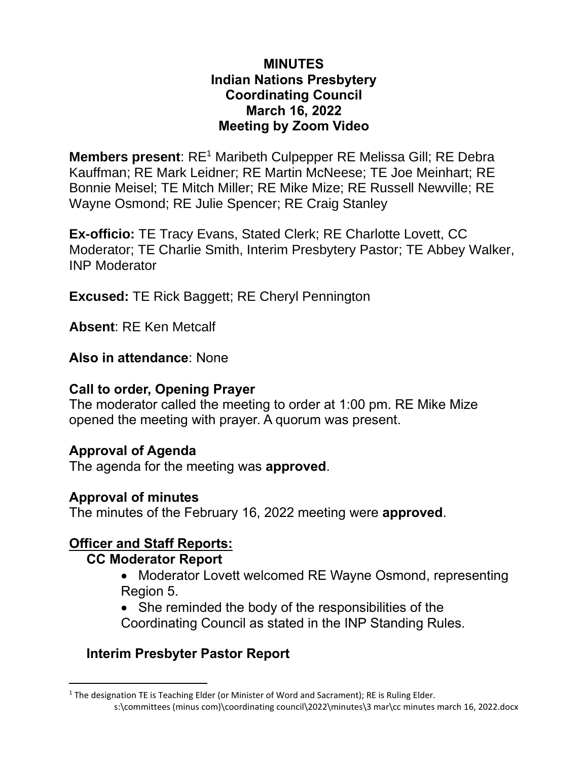#### **MINUTES Indian Nations Presbytery Coordinating Council March 16, 2022 Meeting by Zoom Video**

**Members present:** RE<sup>1</sup> Maribeth Culpepper RE Melissa Gill; RE Debra Kauffman; RE Mark Leidner; RE Martin McNeese; TE Joe Meinhart; RE Bonnie Meisel; TE Mitch Miller; RE Mike Mize; RE Russell Newville; RE Wayne Osmond; RE Julie Spencer; RE Craig Stanley

**Ex-officio:** TE Tracy Evans, Stated Clerk; RE Charlotte Lovett, CC Moderator; TE Charlie Smith, Interim Presbytery Pastor; TE Abbey Walker, INP Moderator

**Excused:** TE Rick Baggett; RE Cheryl Pennington

**Absent**: RE Ken Metcalf

**Also in attendance**: None

#### **Call to order, Opening Prayer**

The moderator called the meeting to order at 1:00 pm. RE Mike Mize opened the meeting with prayer. A quorum was present.

### **Approval of Agenda**

The agenda for the meeting was **approved**.

#### **Approval of minutes**

The minutes of the February 16, 2022 meeting were **approved**.

### **Officer and Staff Reports:**

#### **CC Moderator Report**

- Moderator Lovett welcomed RE Wayne Osmond, representing Region 5.
- She reminded the body of the responsibilities of the Coordinating Council as stated in the INP Standing Rules.

## **Interim Presbyter Pastor Report**

s:\committees (minus com)\coordinating council\2022\minutes\3 mar\cc minutes march 16, 2022.docx <sup>1</sup> The designation TE is Teaching Elder (or Minister of Word and Sacrament); RE is Ruling Elder.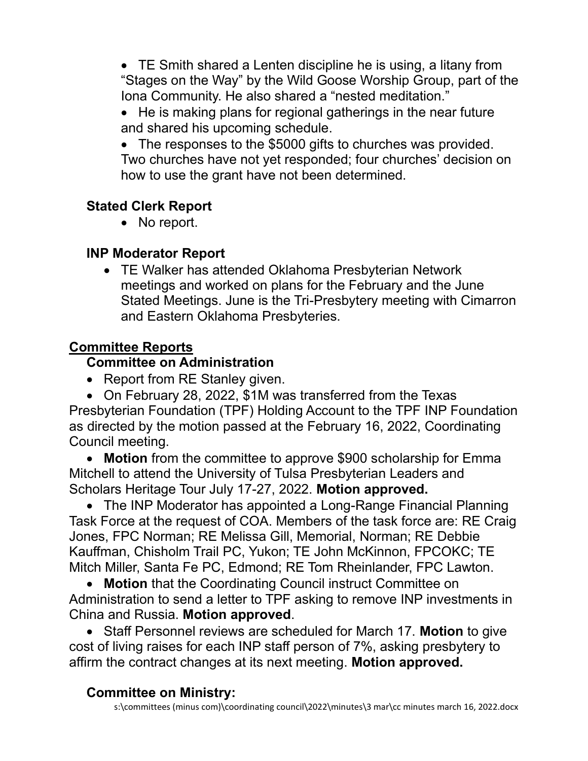• TE Smith shared a Lenten discipline he is using, a litany from "Stages on the Way" by the Wild Goose Worship Group, part of the Iona Community. He also shared a "nested meditation."

• He is making plans for regional gatherings in the near future and shared his upcoming schedule.

• The responses to the \$5000 gifts to churches was provided. Two churches have not yet responded; four churches' decision on how to use the grant have not been determined.

### **Stated Clerk Report**

• No report.

### **INP Moderator Report**

• TE Walker has attended Oklahoma Presbyterian Network meetings and worked on plans for the February and the June Stated Meetings. June is the Tri-Presbytery meeting with Cimarron and Eastern Oklahoma Presbyteries.

## **Committee Reports**

## **Committee on Administration**

• Report from RE Stanley given.

• On February 28, 2022, \$1M was transferred from the Texas Presbyterian Foundation (TPF) Holding Account to the TPF INP Foundation as directed by the motion passed at the February 16, 2022, Coordinating Council meeting.

• **Motion** from the committee to approve \$900 scholarship for Emma Mitchell to attend the University of Tulsa Presbyterian Leaders and Scholars Heritage Tour July 17-27, 2022. **Motion approved.**

• The INP Moderator has appointed a Long-Range Financial Planning Task Force at the request of COA. Members of the task force are: RE Craig Jones, FPC Norman; RE Melissa Gill, Memorial, Norman; RE Debbie Kauffman, Chisholm Trail PC, Yukon; TE John McKinnon, FPCOKC; TE Mitch Miller, Santa Fe PC, Edmond; RE Tom Rheinlander, FPC Lawton.

• **Motion** that the Coordinating Council instruct Committee on Administration to send a letter to TPF asking to remove INP investments in China and Russia. **Motion approved**.

• Staff Personnel reviews are scheduled for March 17. **Motion** to give cost of living raises for each INP staff person of 7%, asking presbytery to affirm the contract changes at its next meeting. **Motion approved.**

### **Committee on Ministry:**

s:\committees (minus com)\coordinating council\2022\minutes\3 mar\cc minutes march 16, 2022.docx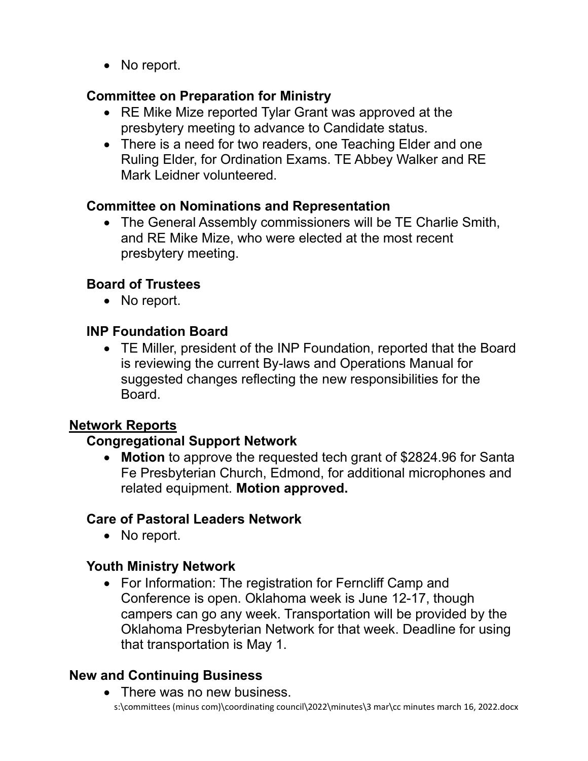• No report.

## **Committee on Preparation for Ministry**

- RE Mike Mize reported Tylar Grant was approved at the presbytery meeting to advance to Candidate status.
- There is a need for two readers, one Teaching Elder and one Ruling Elder, for Ordination Exams. TE Abbey Walker and RE Mark Leidner volunteered.

## **Committee on Nominations and Representation**

• The General Assembly commissioners will be TE Charlie Smith, and RE Mike Mize, who were elected at the most recent presbytery meeting.

## **Board of Trustees**

• No report.

## **INP Foundation Board**

• TE Miller, president of the INP Foundation, reported that the Board is reviewing the current By-laws and Operations Manual for suggested changes reflecting the new responsibilities for the Board.

### **Network Reports**

### **Congregational Support Network**

• **Motion** to approve the requested tech grant of \$2824.96 for Santa Fe Presbyterian Church, Edmond, for additional microphones and related equipment. **Motion approved.**

### **Care of Pastoral Leaders Network**

• No report.

## **Youth Ministry Network**

• For Information: The registration for Ferncliff Camp and Conference is open. Oklahoma week is June 12-17, though campers can go any week. Transportation will be provided by the Oklahoma Presbyterian Network for that week. Deadline for using that transportation is May 1.

# **New and Continuing Business**

s:\committees (minus com)\coordinating council\2022\minutes\3 mar\cc minutes march 16, 2022.docx • There was no new business.